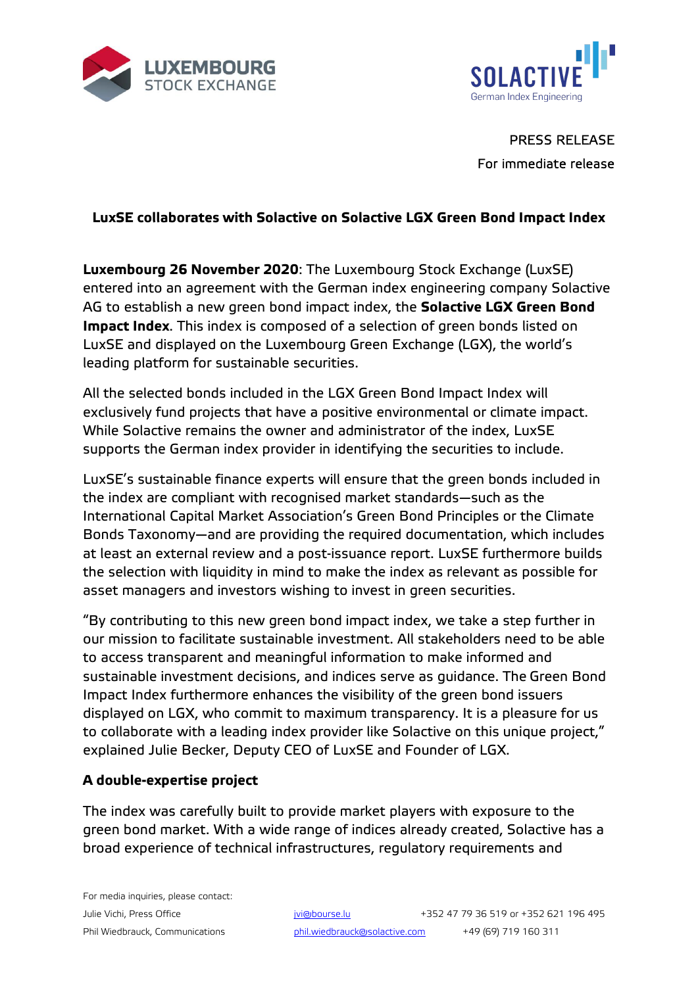



PRESS RELEASE For immediate release

# **LuxSE collaborates with Solactive on Solactive LGX Green Bond Impact Index**

**Luxembourg 26 November 2020**: The Luxembourg Stock Exchange (LuxSE) entered into an agreement with the German index engineering company Solactive AG to establish a new green bond impact index, the **Solactive LGX Green Bond Impact Index**. This index is composed of a selection of green bonds listed on LuxSE and displayed on the Luxembourg Green Exchange (LGX), the world's leading platform for sustainable securities.

All the selected bonds included in the LGX Green Bond Impact Index will exclusively fund projects that have a positive environmental or climate impact. While Solactive remains the owner and administrator of the index, LuxSE supports the German index provider in identifying the securities to include.

LuxSE's sustainable finance experts will ensure that the green bonds included in the index are compliant with recognised market standards—such as the International Capital Market Association's Green Bond Principles or the Climate Bonds Taxonomy—and are providing the required documentation, which includes at least an external review and a post-issuance report. LuxSE furthermore builds the selection with liquidity in mind to make the index as relevant as possible for asset managers and investors wishing to invest in green securities.

"By contributing to this new green bond impact index, we take a step further in our mission to facilitate sustainable investment. All stakeholders need to be able to access transparent and meaningful information to make informed and sustainable investment decisions, and indices serve as guidance. The Green Bond Impact Index furthermore enhances the visibility of the green bond issuers displayed on LGX, who commit to maximum transparency. It is a pleasure for us to collaborate with a leading index provider like Solactive on this unique project," explained Julie Becker, Deputy CEO of LuxSE and Founder of LGX.

### **A double-expertise project**

The index was carefully built to provide market players with exposure to the green bond market. With a wide range of indices already created, Solactive has a broad experience of technical infrastructures, regulatory requirements and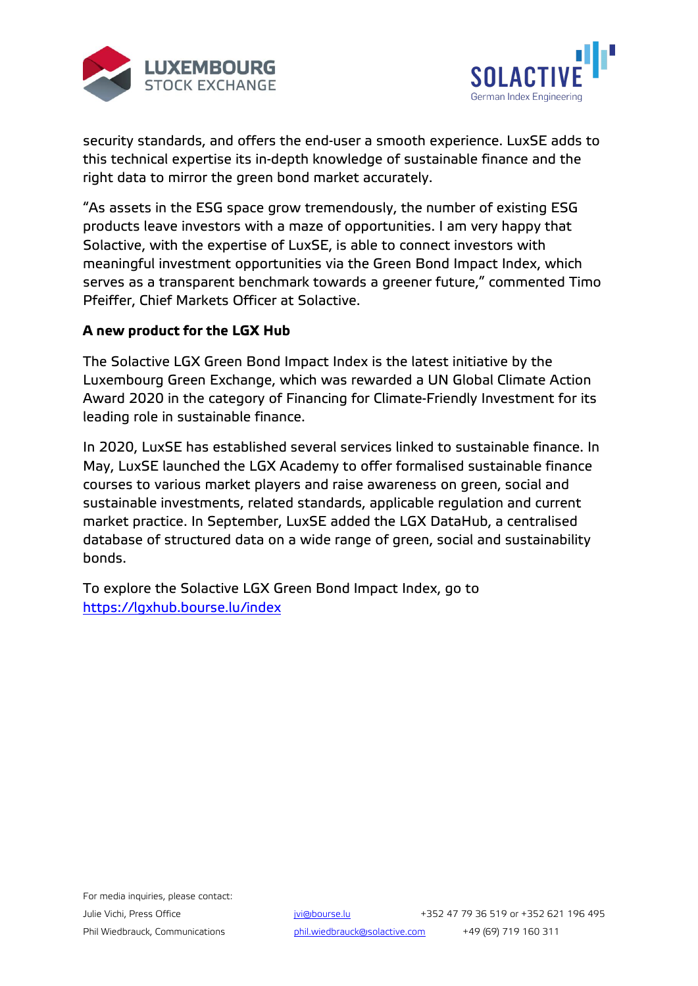



security standards, and offers the end-user a smooth experience. LuxSE adds to this technical expertise its in-depth knowledge of sustainable finance and the right data to mirror the green bond market accurately.

"As assets in the ESG space grow tremendously, the number of existing ESG products leave investors with a maze of opportunities. I am very happy that Solactive, with the expertise of LuxSE, is able to connect investors with meaningful investment opportunities via the Green Bond Impact Index, which serves as a transparent benchmark towards a greener future," commented Timo Pfeiffer, Chief Markets Officer at Solactive.

## **A new product for the LGX Hub**

The Solactive LGX Green Bond Impact Index is the latest initiative by the Luxembourg Green Exchange, which was rewarded a UN Global Climate Action Award 2020 in the category of Financing for Climate-Friendly Investment for its leading role in sustainable finance.

In 2020, LuxSE has established several services linked to sustainable finance. In May, LuxSE launched the LGX Academy to offer formalised sustainable finance courses to various market players and raise awareness on green, social and sustainable investments, related standards, applicable regulation and current market practice. In September, LuxSE added the LGX DataHub, a centralised database of structured data on a wide range of green, social and sustainability bonds.

To explore the Solactive LGX Green Bond Impact Index, go to <https://lgxhub.bourse.lu/index>